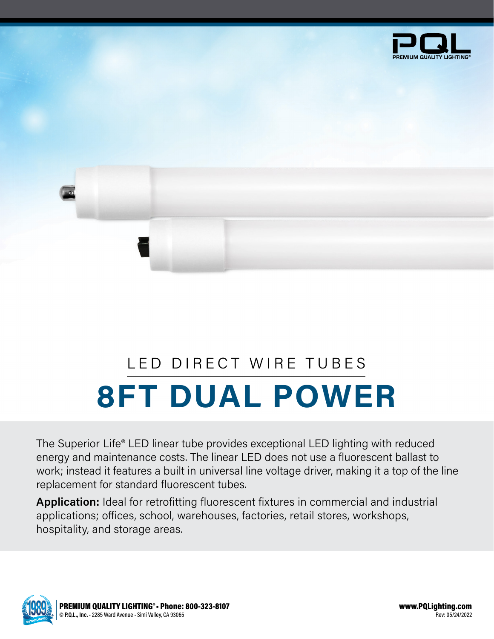

## **8FT DUAL POWER** LED DIRECT WIRE TUBES

The Superior Life® LED linear tube provides exceptional LED lighting with reduced energy and maintenance costs. The linear LED does not use a fluorescent ballast to work; instead it features a built in universal line voltage driver, making it a top of the line replacement for standard fluorescent tubes.

**Application:** Ideal for retrofitting fluorescent fixtures in commercial and industrial applications; offices, school, warehouses, factories, retail stores, workshops, hospitality, and storage areas.

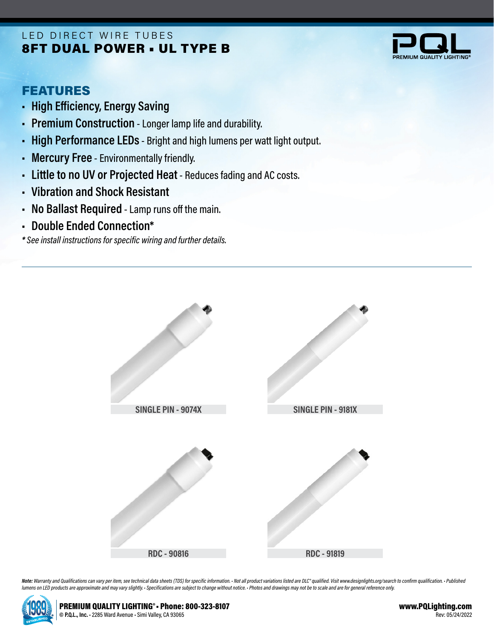## 8FT DUAL POWER • UL TYPE B LED DIRECT WIRE TUBES



## FEATURES

- **• High Efficiency, Energy Saving**
- **• Premium Construction** Longer lamp life and durability.
- **• High Performance LEDs** Bright and high lumens per watt light output.
- **• Mercury Free** Environmentally friendly.
- **• Little to no UV or Projected Heat** Reduces fading and AC costs.
- **• Vibration and Shock Resistant**
- **• No Ballast Required** Lamp runs off the main.
- **• Double Ended Connection\***

*\* See install instructions for specific wiring and further details.*



Note: Warranty and Qualifications can vary per item, see technical data sheets (TDS) for specific information. · Not all product variations listed are DLC\* qualified. Visit www.designlights.org/search to confirm qualificat *lumens on LED products are approximate and may vary slightly. • Specifications are subject to change without notice. • Photos and drawings may not be to scale and are for general reference only.*